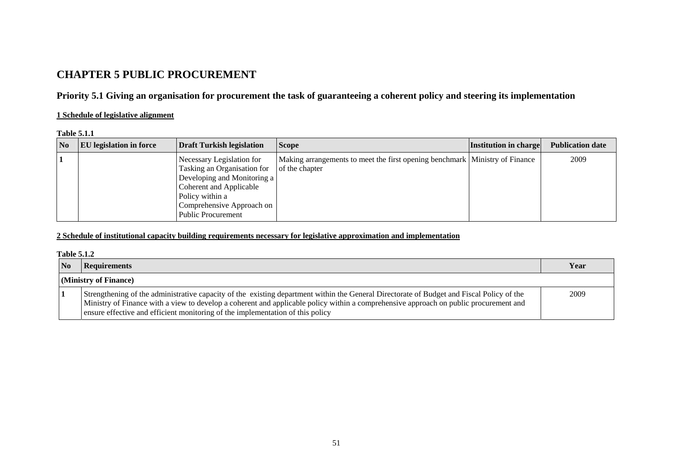# **CHAPTER 5 PUBLIC PROCUREMENT**

# **Priority 5.1 Giving an organisation for procurement the task of guaranteeing a coherent policy and steering its implementation**

## **1 Schedule of legislative alignment**

### **Table 5.1.1**

| $\overline{\mathbf{N}}$ | <b>EU</b> legislation in force | <b>Draft Turkish legislation</b>                                                                                                                                                                | <b>Scope</b>                                                                                  | <b>Institution in charge</b> | <b>Publication date</b> |
|-------------------------|--------------------------------|-------------------------------------------------------------------------------------------------------------------------------------------------------------------------------------------------|-----------------------------------------------------------------------------------------------|------------------------------|-------------------------|
|                         |                                | Necessary Legislation for<br>Tasking an Organisation for<br>Developing and Monitoring a<br>Coherent and Applicable<br>Policy within a<br>Comprehensive Approach on<br><b>Public Procurement</b> | Making arrangements to meet the first opening benchmark Ministry of Finance<br>of the chapter |                              | 2009                    |

## **2 Schedule of institutional capacity building requirements necessary for legislative approximation and implementation**

### **Table 5.1.2**

| $\overline{\mathbf{N}}$ | <b>Requirements</b>                                                                                                                                                                                                                                                                                                                                                  | Year |
|-------------------------|----------------------------------------------------------------------------------------------------------------------------------------------------------------------------------------------------------------------------------------------------------------------------------------------------------------------------------------------------------------------|------|
|                         | (Ministry of Finance)                                                                                                                                                                                                                                                                                                                                                |      |
|                         | Strengthening of the administrative capacity of the existing department within the General Directorate of Budget and Fiscal Policy of the<br>Ministry of Finance with a view to develop a coherent and applicable policy within a comprehensive approach on public procurement and<br>ensure effective and efficient monitoring of the implementation of this policy | 2009 |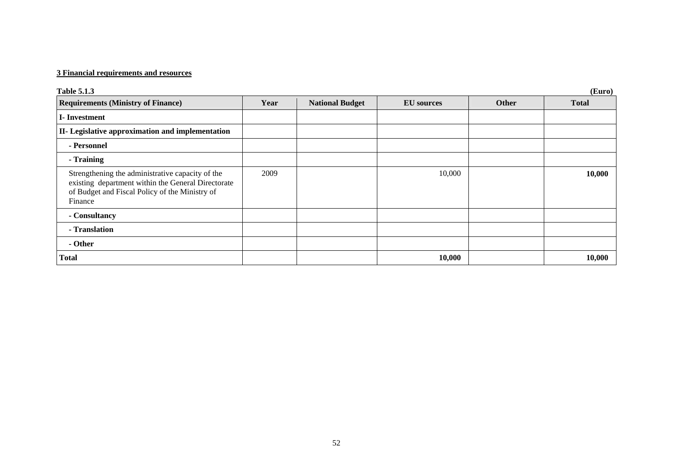# **3 Financial requirements and resources**

| <b>Table 5.1.3</b>                                                                                                                                                  |      |                        |                   |       | (Euro)       |
|---------------------------------------------------------------------------------------------------------------------------------------------------------------------|------|------------------------|-------------------|-------|--------------|
| <b>Requirements (Ministry of Finance)</b>                                                                                                                           | Year | <b>National Budget</b> | <b>EU</b> sources | Other | <b>Total</b> |
| I-Investment                                                                                                                                                        |      |                        |                   |       |              |
| II- Legislative approximation and implementation                                                                                                                    |      |                        |                   |       |              |
| - Personnel                                                                                                                                                         |      |                        |                   |       |              |
| - Training                                                                                                                                                          |      |                        |                   |       |              |
| Strengthening the administrative capacity of the<br>existing department within the General Directorate<br>of Budget and Fiscal Policy of the Ministry of<br>Finance | 2009 |                        | 10,000            |       | 10,000       |
| - Consultancy                                                                                                                                                       |      |                        |                   |       |              |
| - Translation                                                                                                                                                       |      |                        |                   |       |              |
| - Other                                                                                                                                                             |      |                        |                   |       |              |
| <b>Total</b>                                                                                                                                                        |      |                        | 10,000            |       | 10,000       |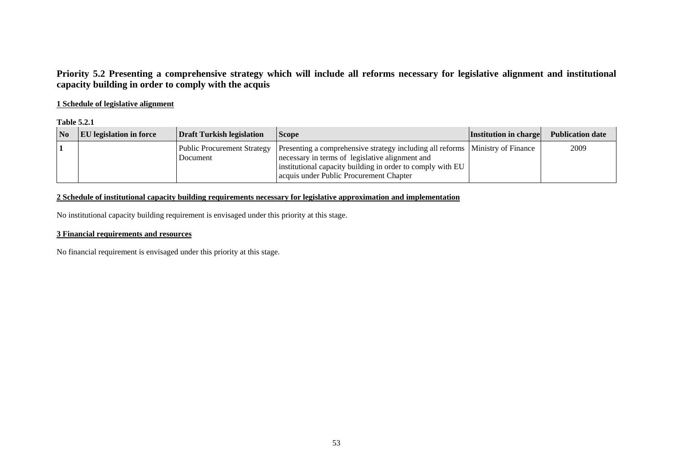# **Priority 5.2 Presenting a comprehensive strategy which will include all reforms necessary for legislative alignment and institutional capacity building in order to comply with the acquis**

## **1 Schedule of legislative alignment**

### **Table 5.2.1**

| $\overline{\mathbf{N}}$ | <b>EU</b> legislation in force | Draft Turkish legislation | <b>Scope</b>                                                                                                                                                                                                                                                              | <b>Institution in charge</b> | <b>Publication date</b> |
|-------------------------|--------------------------------|---------------------------|---------------------------------------------------------------------------------------------------------------------------------------------------------------------------------------------------------------------------------------------------------------------------|------------------------------|-------------------------|
|                         |                                | Document                  | Public Procurement Strategy   Presenting a comprehensive strategy including all reforms   Ministry of Finance<br>necessary in terms of legislative alignment and<br>institutional capacity building in order to comply with EU<br>acquis under Public Procurement Chapter |                              | 2009                    |

## **2 Schedule of institutional capacity building requirements necessary for legislative approximation and implementation**

No institutional capacity building requirement is envisaged under this priority at this stage.

### **3 Financial requirements and resources**

No financial requirement is envisaged under this priority at this stage.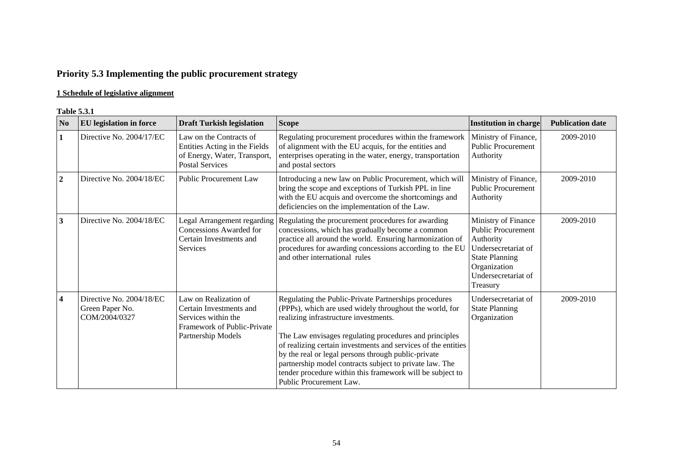# **Priority 5.3 Implementing the public procurement strategy**

# **1 Schedule of legislative alignment**

#### **Table 5.3.1**

| N <sub>0</sub>   | <b>EU</b> legislation in force                               | <b>Draft Turkish legislation</b>                                                                                             | <b>Scope</b>                                                                                                                                                                                                                                                                                                                                                                                                                                                                                   | <b>Institution in charge</b>                                                                                                                                     | <b>Publication date</b> |
|------------------|--------------------------------------------------------------|------------------------------------------------------------------------------------------------------------------------------|------------------------------------------------------------------------------------------------------------------------------------------------------------------------------------------------------------------------------------------------------------------------------------------------------------------------------------------------------------------------------------------------------------------------------------------------------------------------------------------------|------------------------------------------------------------------------------------------------------------------------------------------------------------------|-------------------------|
| $\mathbf{1}$     | Directive No. 2004/17/EC                                     | Law on the Contracts of<br>Entities Acting in the Fields<br>of Energy, Water, Transport,<br><b>Postal Services</b>           | Regulating procurement procedures within the framework<br>of alignment with the EU acquis, for the entities and<br>enterprises operating in the water, energy, transportation<br>and postal sectors                                                                                                                                                                                                                                                                                            | Ministry of Finance,<br><b>Public Procurement</b><br>Authority                                                                                                   | 2009-2010               |
| $\boldsymbol{2}$ | Directive No. 2004/18/EC                                     | <b>Public Procurement Law</b>                                                                                                | Introducing a new law on Public Procurement, which will<br>bring the scope and exceptions of Turkish PPL in line<br>with the EU acquis and overcome the shortcomings and<br>deficiencies on the implementation of the Law.                                                                                                                                                                                                                                                                     | Ministry of Finance,<br><b>Public Procurement</b><br>Authority                                                                                                   | 2009-2010               |
| 3                | Directive No. 2004/18/EC                                     | Legal Arrangement regarding<br>Concessions Awarded for<br>Certain Investments and<br><b>Services</b>                         | Regulating the procurement procedures for awarding<br>concessions, which has gradually become a common<br>practice all around the world. Ensuring harmonization of<br>procedures for awarding concessions according to the EU<br>and other international rules                                                                                                                                                                                                                                 | Ministry of Finance<br><b>Public Procurement</b><br>Authority<br>Undersecretariat of<br><b>State Planning</b><br>Organization<br>Undersecretariat of<br>Treasury | 2009-2010               |
| $\boldsymbol{4}$ | Directive No. 2004/18/EC<br>Green Paper No.<br>COM/2004/0327 | Law on Realization of<br>Certain Investments and<br>Services within the<br>Framework of Public-Private<br>Partnership Models | Regulating the Public-Private Partnerships procedures<br>(PPPs), which are used widely throughout the world, for<br>realizing infrastructure investments.<br>The Law envisages regulating procedures and principles<br>of realizing certain investments and services of the entities<br>by the real or legal persons through public-private<br>partnership model contracts subject to private law. The<br>tender procedure within this framework will be subject to<br>Public Procurement Law. | Undersecretariat of<br><b>State Planning</b><br>Organization                                                                                                     | 2009-2010               |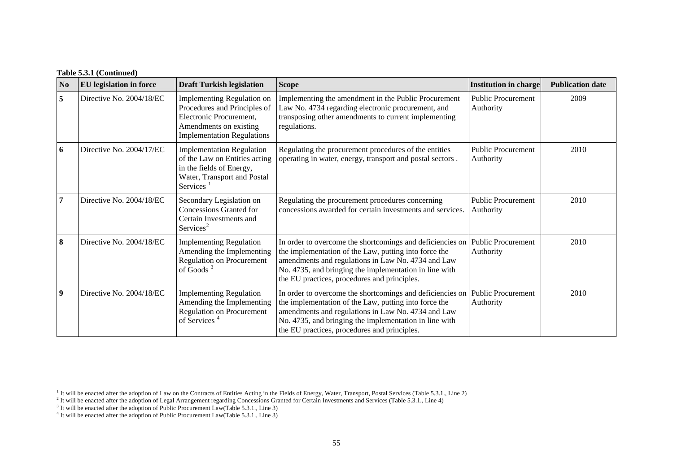## **Table 5.3.1 (Continued)**

| N <sub>0</sub>          | <b>EU</b> legislation in force | <b>Draft Turkish legislation</b>                                                                                                                     | <b>Scope</b>                                                                                                                                                                                                                                                                       | <b>Institution in charge</b>           | <b>Publication date</b> |
|-------------------------|--------------------------------|------------------------------------------------------------------------------------------------------------------------------------------------------|------------------------------------------------------------------------------------------------------------------------------------------------------------------------------------------------------------------------------------------------------------------------------------|----------------------------------------|-------------------------|
| 5                       | Directive No. 2004/18/EC       | Implementing Regulation on<br>Procedures and Principles of<br>Electronic Procurement.<br>Amendments on existing<br><b>Implementation Regulations</b> | Implementing the amendment in the Public Procurement<br>Law No. 4734 regarding electronic procurement, and<br>transposing other amendments to current implementing<br>regulations.                                                                                                 | <b>Public Procurement</b><br>Authority | 2009                    |
| 6                       | Directive No. 2004/17/EC       | <b>Implementation Regulation</b><br>of the Law on Entities acting<br>in the fields of Energy,<br>Water, Transport and Postal<br>Services             | Regulating the procurement procedures of the entities<br>operating in water, energy, transport and postal sectors.                                                                                                                                                                 | <b>Public Procurement</b><br>Authority | 2010                    |
| 7                       | Directive No. 2004/18/EC       | Secondary Legislation on<br>Concessions Granted for<br>Certain Investments and<br>Services <sup>2</sup>                                              | Regulating the procurement procedures concerning<br>concessions awarded for certain investments and services.                                                                                                                                                                      | <b>Public Procurement</b><br>Authority | 2010                    |
| 8                       | Directive No. 2004/18/EC       | <b>Implementing Regulation</b><br>Amending the Implementing<br><b>Regulation on Procurement</b><br>of Goods $3$                                      | In order to overcome the shortcomings and deficiencies on<br>the implementation of the Law, putting into force the<br>amendments and regulations in Law No. 4734 and Law<br>No. 4735, and bringing the implementation in line with<br>the EU practices, procedures and principles. | <b>Public Procurement</b><br>Authority | 2010                    |
| $\overline{\mathbf{9}}$ | Directive No. 2004/18/EC       | <b>Implementing Regulation</b><br>Amending the Implementing<br>Regulation on Procurement<br>of Services <sup>4</sup>                                 | In order to overcome the shortcomings and deficiencies on<br>the implementation of the Law, putting into force the<br>amendments and regulations in Law No. 4734 and Law<br>No. 4735, and bringing the implementation in line with<br>the EU practices, procedures and principles. | <b>Public Procurement</b><br>Authority | 2010                    |

<span id="page-4-1"></span><span id="page-4-0"></span><sup>&</sup>lt;sup>1</sup> It will be enacted after the adoption of Law on the Contracts of Entities Acting in the Fields of Energy, Water, Transport, Postal Services (Table 5.3.1., Line 2)

<sup>&</sup>lt;sup>2</sup> It will be enacted after the adoption of Legal Arrangement regarding Concessions Granted for Certain Investments and Services (Table 5.3.1., Line 4)

<span id="page-4-2"></span> $3$  It will be enacted after the adoption of Public Procurement Law(Table 5.3.1., Line 3)

<span id="page-4-3"></span> $4$  It will be enacted after the adoption of Public Procurement Law(Table 5.3.1., Line 3)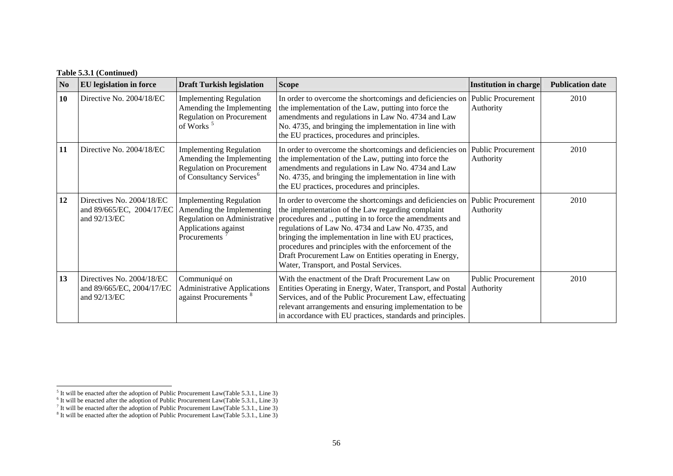## **Table 5.3.1 (Continued)**

| N <sub>0</sub> | <b>EU</b> legislation in force                                         | <b>Draft Turkish legislation</b>                                                                                                                 | <b>Scope</b>                                                                                                                                                                                                                                                                                                                                                                                                                                           | Institution in charge                  | <b>Publication date</b> |
|----------------|------------------------------------------------------------------------|--------------------------------------------------------------------------------------------------------------------------------------------------|--------------------------------------------------------------------------------------------------------------------------------------------------------------------------------------------------------------------------------------------------------------------------------------------------------------------------------------------------------------------------------------------------------------------------------------------------------|----------------------------------------|-------------------------|
| 10             | Directive No. 2004/18/EC                                               | <b>Implementing Regulation</b><br>Amending the Implementing<br><b>Regulation on Procurement</b><br>of Works <sup>5</sup>                         | In order to overcome the shortcomings and deficiencies on<br>the implementation of the Law, putting into force the<br>amendments and regulations in Law No. 4734 and Law<br>No. 4735, and bringing the implementation in line with<br>the EU practices, procedures and principles.                                                                                                                                                                     | <b>Public Procurement</b><br>Authority | 2010                    |
| 11             | Directive No. 2004/18/EC                                               | <b>Implementing Regulation</b><br>Amending the Implementing<br><b>Regulation on Procurement</b><br>of Consultancy Services <sup>6</sup>          | In order to overcome the shortcomings and deficiencies on<br>the implementation of the Law, putting into force the<br>amendments and regulations in Law No. 4734 and Law<br>No. 4735, and bringing the implementation in line with<br>the EU practices, procedures and principles.                                                                                                                                                                     | <b>Public Procurement</b><br>Authority | 2010                    |
| 12             | Directives No. 2004/18/EC<br>and 89/665/EC, 2004/17/EC<br>and 92/13/EC | <b>Implementing Regulation</b><br>Amending the Implementing<br>Regulation on Administrative<br>Applications against<br>Procurements <sup>7</sup> | In order to overcome the shortcomings and deficiencies on<br>the implementation of the Law regarding complaint<br>procedures and ., putting in to force the amendments and<br>regulations of Law No. 4734 and Law No. 4735, and<br>bringing the implementation in line with EU practices,<br>procedures and principles with the enforcement of the<br>Draft Procurement Law on Entities operating in Energy,<br>Water, Transport, and Postal Services. | <b>Public Procurement</b><br>Authority | 2010                    |
| 13             | Directives No. 2004/18/EC<br>and 89/665/EC, 2004/17/EC<br>and 92/13/EC | Communiqué on<br><b>Administrative Applications</b><br>against Procurements <sup>8</sup>                                                         | With the enactment of the Draft Procurement Law on<br>Entities Operating in Energy, Water, Transport, and Postal<br>Services, and of the Public Procurement Law, effectuating<br>relevant arrangements and ensuring implementation to be<br>in accordance with EU practices, standards and principles.                                                                                                                                                 | Public Procurement<br>Authority        | 2010                    |

<span id="page-5-1"></span><span id="page-5-0"></span> $<sup>5</sup>$  It will be enacted after the adoption of Public Procurement Law(Table 5.3.1., Line 3)</sup>

 $6$  It will be enacted after the adoption of Public Procurement Law(Table 5.3.1., Line 3)

<span id="page-5-2"></span><sup>&</sup>lt;sup>7</sup> It will be enacted after the adoption of Public Procurement Law(Table 5.3.1., Line 3)

<span id="page-5-3"></span> $8$  It will be enacted after the adoption of Public Procurement Law(Table 5.3.1., Line 3)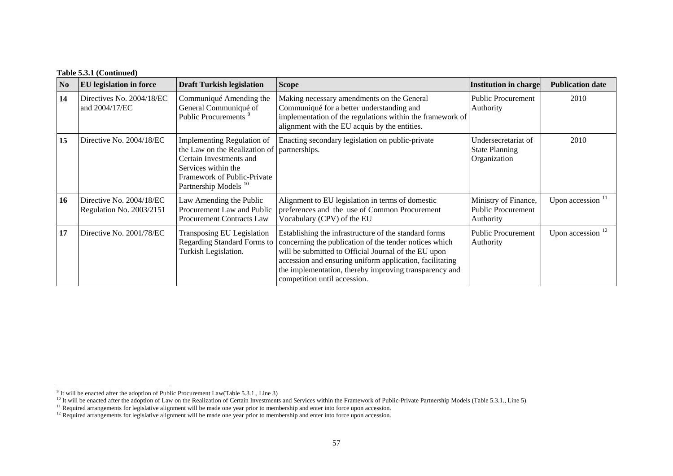## **Table 5.3.1 (Continued)**

| N <sub>0</sub> | <b>EU</b> legislation in force                       | <b>Draft Turkish legislation</b>                                                                                                                                                                 | <b>Scope</b>                                                                                                                                                                                                                                                                                                                  | <b>Institution in charge</b>                                   | <b>Publication date</b> |
|----------------|------------------------------------------------------|--------------------------------------------------------------------------------------------------------------------------------------------------------------------------------------------------|-------------------------------------------------------------------------------------------------------------------------------------------------------------------------------------------------------------------------------------------------------------------------------------------------------------------------------|----------------------------------------------------------------|-------------------------|
| 14             | Directives No. 2004/18/EC<br>and 2004/17/EC          | Communiqué Amending the<br>General Communiqué of<br>Public Procurements <sup>9</sup>                                                                                                             | Making necessary amendments on the General<br>Communiqué for a better understanding and<br>implementation of the regulations within the framework of<br>alignment with the EU acquis by the entities.                                                                                                                         | <b>Public Procurement</b><br>Authority                         | 2010                    |
| 15             | Directive No. 2004/18/EC                             | Implementing Regulation of<br>the Law on the Realization of   partnerships.<br>Certain Investments and<br>Services within the<br>Framework of Public-Private<br>Partnership Models <sup>10</sup> | Enacting secondary legislation on public-private                                                                                                                                                                                                                                                                              | Undersecretariat of<br><b>State Planning</b><br>Organization   | 2010                    |
| 16             | Directive No. 2004/18/EC<br>Regulation No. 2003/2151 | Law Amending the Public<br>Procurement Law and Public<br><b>Procurement Contracts Law</b>                                                                                                        | Alignment to EU legislation in terms of domestic<br>preferences and the use of Common Procurement<br>Vocabulary (CPV) of the EU                                                                                                                                                                                               | Ministry of Finance,<br><b>Public Procurement</b><br>Authority | Upon accession $11$     |
| 17             | Directive No. 2001/78/EC                             | Transposing EU Legislation<br><b>Regarding Standard Forms to</b><br>Turkish Legislation.                                                                                                         | Establishing the infrastructure of the standard forms<br>concerning the publication of the tender notices which<br>will be submitted to Official Journal of the EU upon<br>accession and ensuring uniform application, facilitating<br>the implementation, thereby improving transparency and<br>competition until accession. | <b>Public Procurement</b><br>Authority                         | Upon accession $12$     |

 $9$  It will be enacted after the adoption of Public Procurement Law(Table 5.3.1., Line 3)

<span id="page-6-2"></span><span id="page-6-1"></span><span id="page-6-0"></span><sup>&</sup>lt;sup>10</sup> It will be enacted after the adoption of Law on the Realization of Certain Investments and Services within the Framework of Public-Private Partnership Models (Table 5.3.1., Line 5)

<span id="page-6-3"></span><sup>&</sup>lt;sup>11</sup> Required arrangements for legislative alignment will be made one year prior to membership and enter into force upon accession.

 $12$  Required arrangements for legislative alignment will be made one year prior to membership and enter into force upon accession.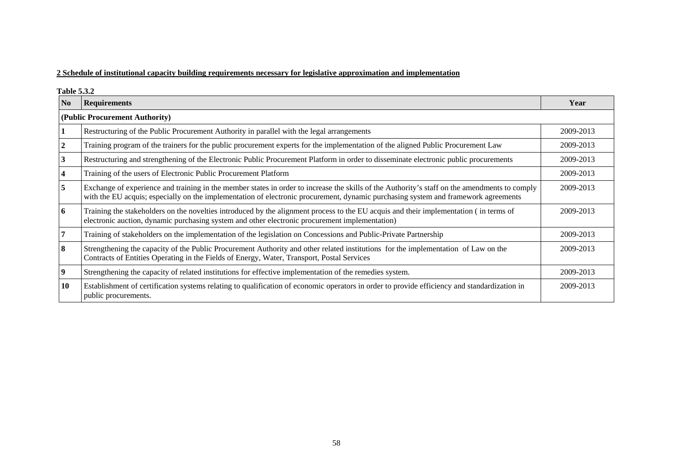## **2 Schedule of institutional capacity building requirements necessary for legislative approximation and implementation**

**Table 5.3.2** 

| $\overline{N_0}$ | <b>Requirements</b>                                                                                                                                                                                                                                                                 | Year      |  |  |  |
|------------------|-------------------------------------------------------------------------------------------------------------------------------------------------------------------------------------------------------------------------------------------------------------------------------------|-----------|--|--|--|
|                  | (Public Procurement Authority)                                                                                                                                                                                                                                                      |           |  |  |  |
|                  | Restructuring of the Public Procurement Authority in parallel with the legal arrangements                                                                                                                                                                                           | 2009-2013 |  |  |  |
|                  | Training program of the trainers for the public procurement experts for the implementation of the aligned Public Procurement Law                                                                                                                                                    | 2009-2013 |  |  |  |
|                  | Restructuring and strengthening of the Electronic Public Procurement Platform in order to disseminate electronic public procurements                                                                                                                                                | 2009-2013 |  |  |  |
|                  | Training of the users of Electronic Public Procurement Platform                                                                                                                                                                                                                     | 2009-2013 |  |  |  |
| 5                | Exchange of experience and training in the member states in order to increase the skills of the Authority's staff on the amendments to comply<br>with the EU acquis; especially on the implementation of electronic procurement, dynamic purchasing system and framework agreements | 2009-2013 |  |  |  |
| 6                | Training the stakeholders on the novelties introduced by the alignment process to the EU acquis and their implementation (in terms of<br>electronic auction, dynamic purchasing system and other electronic procurement implementation)                                             | 2009-2013 |  |  |  |
|                  | Training of stakeholders on the implementation of the legislation on Concessions and Public-Private Partnership                                                                                                                                                                     | 2009-2013 |  |  |  |
| 8                | Strengthening the capacity of the Public Procurement Authority and other related institutions for the implementation of Law on the<br>Contracts of Entities Operating in the Fields of Energy, Water, Transport, Postal Services                                                    | 2009-2013 |  |  |  |
| 9                | Strengthening the capacity of related institutions for effective implementation of the remedies system.                                                                                                                                                                             | 2009-2013 |  |  |  |
| 10               | Establishment of certification systems relating to qualification of economic operators in order to provide efficiency and standardization in<br>public procurements.                                                                                                                | 2009-2013 |  |  |  |